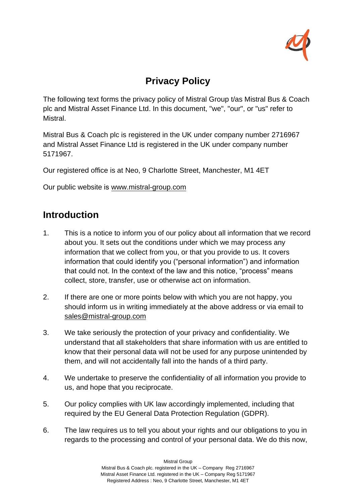

# **Privacy Policy**

The following text forms the privacy policy of Mistral Group t/as Mistral Bus & Coach plc and Mistral Asset Finance Ltd. In this document, "we", "our", or "us" refer to Mistral.

Mistral Bus & Coach plc is registered in the UK under company number 2716967 and Mistral Asset Finance Ltd is registered in the UK under company number 5171967.

Our registered office is at Neo, 9 Charlotte Street, Manchester, M1 4ET

Our public website is [www.mistral-group.com](http://www.mistral-group.com/)

## **Introduction**

- 1. This is a notice to inform you of our policy about all information that we record about you. It sets out the conditions under which we may process any information that we collect from you, or that you provide to us. It covers information that could identify you ("personal information") and information that could not. In the context of the law and this notice, "process" means collect, store, transfer, use or otherwise act on information.
- 2. If there are one or more points below with which you are not happy, you should inform us in writing immediately at the above address or via email to [sales@mistral-group.com](mailto:sales@mistral-group.com)
- 3. We take seriously the protection of your privacy and confidentiality. We understand that all stakeholders that share information with us are entitled to know that their personal data will not be used for any purpose unintended by them, and will not accidentally fall into the hands of a third party.
- 4. We undertake to preserve the confidentiality of all information you provide to us, and hope that you reciprocate.
- 5. Our policy complies with UK law accordingly implemented, including that required by the EU General Data Protection Regulation (GDPR).
- 6. The law requires us to tell you about your rights and our obligations to you in regards to the processing and control of your personal data. We do this now,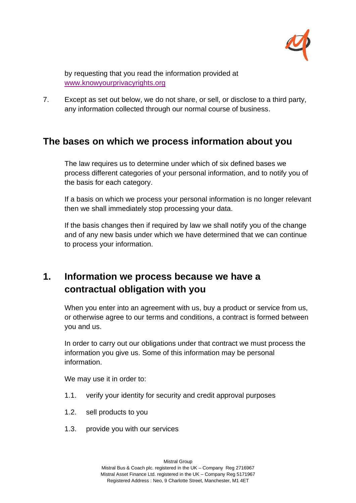

by requesting that you read the information provided at [www.knowyourprivacyrights.org](http://www.knowyourprivacyrights.org/)

7. Except as set out below, we do not share, or sell, or disclose to a third party, any information collected through our normal course of business.

## **The bases on which we process information about you**

The law requires us to determine under which of six defined bases we process different categories of your personal information, and to notify you of the basis for each category.

If a basis on which we process your personal information is no longer relevant then we shall immediately stop processing your data.

If the basis changes then if required by law we shall notify you of the change and of any new basis under which we have determined that we can continue to process your information.

# **1. Information we process because we have a contractual obligation with you**

When you enter into an agreement with us, buy a product or service from us, or otherwise agree to our terms and conditions, a contract is formed between you and us.

In order to carry out our obligations under that contract we must process the information you give us. Some of this information may be personal information.

We may use it in order to:

- 1.1. verify your identity for security and credit approval purposes
- 1.2. sell products to you
- 1.3. provide you with our services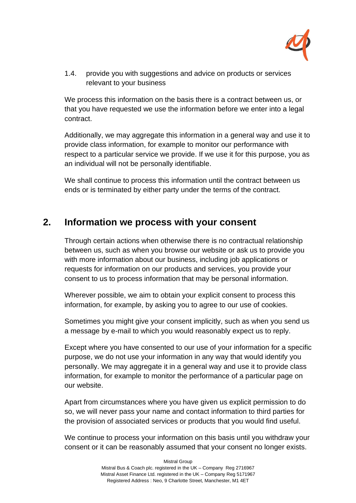

1.4. provide you with suggestions and advice on products or services relevant to your business

We process this information on the basis there is a contract between us, or that you have requested we use the information before we enter into a legal contract.

Additionally, we may aggregate this information in a general way and use it to provide class information, for example to monitor our performance with respect to a particular service we provide. If we use it for this purpose, you as an individual will not be personally identifiable.

We shall continue to process this information until the contract between us ends or is terminated by either party under the terms of the contract.

### **2. Information we process with your consent**

Through certain actions when otherwise there is no contractual relationship between us, such as when you browse our website or ask us to provide you with more information about our business, including job applications or requests for information on our products and services, you provide your consent to us to process information that may be personal information.

Wherever possible, we aim to obtain your explicit consent to process this information, for example, by asking you to agree to our use of cookies.

Sometimes you might give your consent implicitly, such as when you send us a message by e-mail to which you would reasonably expect us to reply.

Except where you have consented to our use of your information for a specific purpose, we do not use your information in any way that would identify you personally. We may aggregate it in a general way and use it to provide class information, for example to monitor the performance of a particular page on our website.

Apart from circumstances where you have given us explicit permission to do so, we will never pass your name and contact information to third parties for the provision of associated services or products that you would find useful.

We continue to process your information on this basis until you withdraw your consent or it can be reasonably assumed that your consent no longer exists.

Mistral Group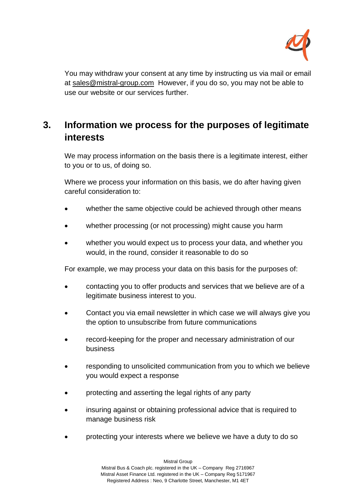

You may withdraw your consent at any time by instructing us via mail or email at [sales@mistral-group.com](mailto:sales@mistral-group.com) However, if you do so, you may not be able to use our website or our services further.

# **3. Information we process for the purposes of legitimate interests**

We may process information on the basis there is a legitimate interest, either to you or to us, of doing so.

Where we process your information on this basis, we do after having given careful consideration to:

- whether the same objective could be achieved through other means
- whether processing (or not processing) might cause you harm
- whether you would expect us to process your data, and whether you would, in the round, consider it reasonable to do so

For example, we may process your data on this basis for the purposes of:

- contacting you to offer products and services that we believe are of a legitimate business interest to you.
- Contact you via email newsletter in which case we will always give you the option to unsubscribe from future communications
- record-keeping for the proper and necessary administration of our business
- responding to unsolicited communication from you to which we believe you would expect a response
- protecting and asserting the legal rights of any party
- insuring against or obtaining professional advice that is required to manage business risk
- protecting your interests where we believe we have a duty to do so

Mistral Group Mistral Bus & Coach plc. registered in the UK – Company Reg 2716967 Mistral Asset Finance Ltd. registered in the UK – Company Reg 5171967 Registered Address : Neo, 9 Charlotte Street, Manchester, M1 4ET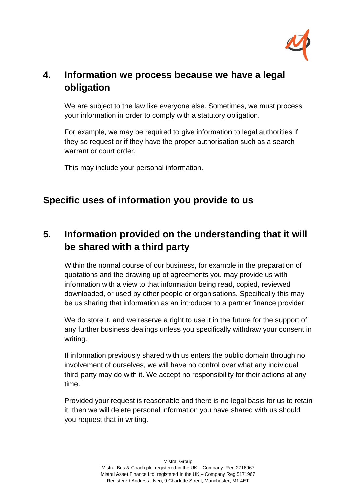

# **4. Information we process because we have a legal obligation**

We are subject to the law like everyone else. Sometimes, we must process your information in order to comply with a statutory obligation.

For example, we may be required to give information to legal authorities if they so request or if they have the proper authorisation such as a search warrant or court order.

This may include your personal information.

## **Specific uses of information you provide to us**

# **5. Information provided on the understanding that it will be shared with a third party**

Within the normal course of our business, for example in the preparation of quotations and the drawing up of agreements you may provide us with information with a view to that information being read, copied, reviewed downloaded, or used by other people or organisations. Specifically this may be us sharing that information as an introducer to a partner finance provider.

We do store it, and we reserve a right to use it in the future for the support of any further business dealings unless you specifically withdraw your consent in writing.

If information previously shared with us enters the public domain through no involvement of ourselves, we will have no control over what any individual third party may do with it. We accept no responsibility for their actions at any time.

Provided your request is reasonable and there is no legal basis for us to retain it, then we will delete personal information you have shared with us should you request that in writing.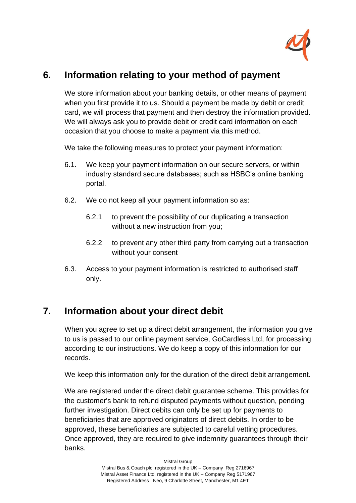

## **6. Information relating to your method of payment**

We store information about your banking details, or other means of payment when you first provide it to us. Should a payment be made by debit or credit card, we will process that payment and then destroy the information provided. We will always ask you to provide debit or credit card information on each occasion that you choose to make a payment via this method.

We take the following measures to protect your payment information:

- 6.1. We keep your payment information on our secure servers, or within industry standard secure databases; such as HSBC's online banking portal.
- 6.2. We do not keep all your payment information so as:
	- 6.2.1 to prevent the possibility of our duplicating a transaction without a new instruction from you;
	- 6.2.2 to prevent any other third party from carrying out a transaction without your consent
- 6.3. Access to your payment information is restricted to authorised staff only.

## **7. Information about your direct debit**

When you agree to set up a direct debit arrangement, the information you give to us is passed to our online payment service, GoCardless Ltd, for processing according to our instructions. We do keep a copy of this information for our records.

We keep this information only for the duration of the direct debit arrangement.

We are registered under the direct debit guarantee scheme. This provides for the customer's bank to refund disputed payments without question, pending further investigation. Direct debits can only be set up for payments to beneficiaries that are approved originators of direct debits. In order to be approved, these beneficiaries are subjected to careful vetting procedures. Once approved, they are required to give indemnity guarantees through their banks.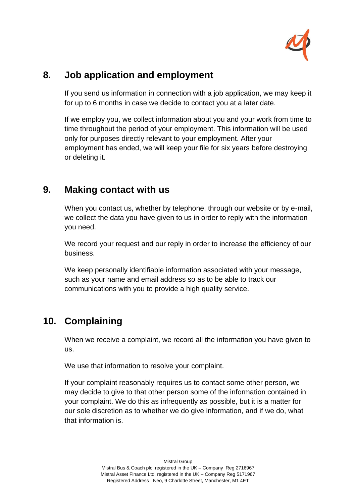

## **8. Job application and employment**

If you send us information in connection with a job application, we may keep it for up to 6 months in case we decide to contact you at a later date.

If we employ you, we collect information about you and your work from time to time throughout the period of your employment. This information will be used only for purposes directly relevant to your employment. After your employment has ended, we will keep your file for six years before destroying or deleting it.

#### **9. Making contact with us**

When you contact us, whether by telephone, through our website or by e-mail, we collect the data you have given to us in order to reply with the information you need.

We record your request and our reply in order to increase the efficiency of our business.

We keep personally identifiable information associated with your message, such as your name and email address so as to be able to track our communications with you to provide a high quality service.

## **10. Complaining**

When we receive a complaint, we record all the information you have given to us.

We use that information to resolve your complaint.

If your complaint reasonably requires us to contact some other person, we may decide to give to that other person some of the information contained in your complaint. We do this as infrequently as possible, but it is a matter for our sole discretion as to whether we do give information, and if we do, what that information is.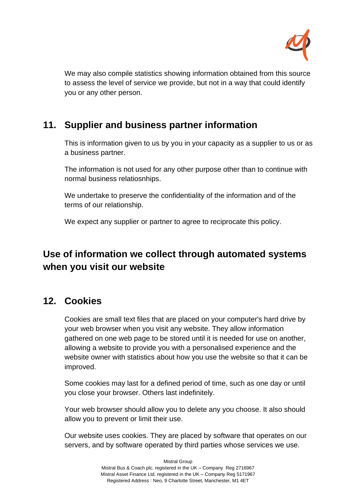

We may also compile statistics showing information obtained from this source to assess the level of service we provide, but not in a way that could identify you or any other person.

## **11. Supplier and business partner information**

This is information given to us by you in your capacity as a supplier to us or as a business partner.

The information is not used for any other purpose other than to continue with normal business relatiosnhips.

We undertake to preserve the confidentiality of the information and of the terms of our relationship.

We expect any supplier or partner to agree to reciprocate this policy.

# **Use of information we collect through automated systems when you visit our website**

### **12. Cookies**

Cookies are small text files that are placed on your computer's hard drive by your web browser when you visit any website. They allow information gathered on one web page to be stored until it is needed for use on another, allowing a website to provide you with a personalised experience and the website owner with statistics about how you use the website so that it can be improved.

Some cookies may last for a defined period of time, such as one day or until you close your browser. Others last indefinitely.

Your web browser should allow you to delete any you choose. It also should allow you to prevent or limit their use.

Our website uses cookies. They are placed by software that operates on our servers, and by software operated by third parties whose services we use.

> Mistral Group Mistral Bus & Coach plc. registered in the UK – Company Reg 2716967 Mistral Asset Finance Ltd. registered in the UK – Company Reg 5171967 Registered Address : Neo, 9 Charlotte Street, Manchester, M1 4ET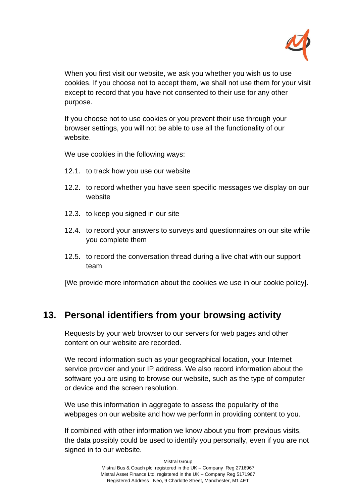

When you first visit our website, we ask you whether you wish us to use cookies. If you choose not to accept them, we shall not use them for your visit except to record that you have not consented to their use for any other purpose.

If you choose not to use cookies or you prevent their use through your browser settings, you will not be able to use all the functionality of our website.

We use cookies in the following ways:

- 12.1. to track how you use our website
- 12.2. to record whether you have seen specific messages we display on our website
- 12.3. to keep you signed in our site
- 12.4. to record your answers to surveys and questionnaires on our site while you complete them
- 12.5. to record the conversation thread during a live chat with our support team

[We provide more information about the cookies we use in our cookie policy].

#### **13. Personal identifiers from your browsing activity**

Requests by your web browser to our servers for web pages and other content on our website are recorded.

We record information such as your geographical location, your Internet service provider and your IP address. We also record information about the software you are using to browse our website, such as the type of computer or device and the screen resolution.

We use this information in aggregate to assess the popularity of the webpages on our website and how we perform in providing content to you.

If combined with other information we know about you from previous visits, the data possibly could be used to identify you personally, even if you are not signed in to our website.

> Mistral Group Mistral Bus & Coach plc. registered in the UK – Company Reg 2716967 Mistral Asset Finance Ltd. registered in the UK – Company Reg 5171967 Registered Address : Neo, 9 Charlotte Street, Manchester, M1 4ET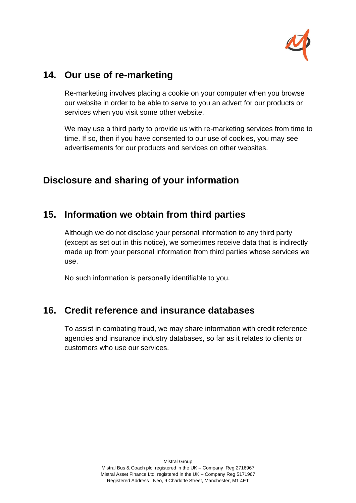

### **14. Our use of re-marketing**

Re-marketing involves placing a cookie on your computer when you browse our website in order to be able to serve to you an advert for our products or services when you visit some other website.

We may use a third party to provide us with re-marketing services from time to time. If so, then if you have consented to our use of cookies, you may see advertisements for our products and services on other websites.

# **Disclosure and sharing of your information**

## **15. Information we obtain from third parties**

Although we do not disclose your personal information to any third party (except as set out in this notice), we sometimes receive data that is indirectly made up from your personal information from third parties whose services we use.

No such information is personally identifiable to you.

### **16. Credit reference and insurance databases**

To assist in combating fraud, we may share information with credit reference agencies and insurance industry databases, so far as it relates to clients or customers who use our services.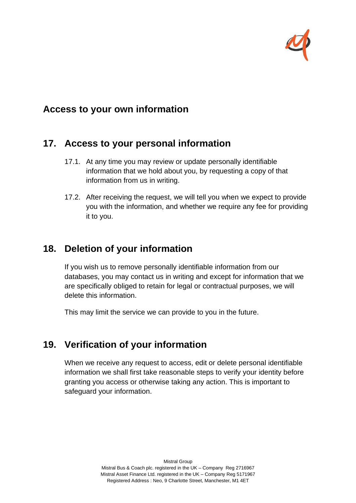

### **Access to your own information**

### **17. Access to your personal information**

- 17.1. At any time you may review or update personally identifiable information that we hold about you, by requesting a copy of that information from us in writing.
- 17.2. After receiving the request, we will tell you when we expect to provide you with the information, and whether we require any fee for providing it to you.

## **18. Deletion of your information**

If you wish us to remove personally identifiable information from our databases, you may contact us in writing and except for information that we are specifically obliged to retain for legal or contractual purposes, we will delete this information.

This may limit the service we can provide to you in the future.

## **19. Verification of your information**

When we receive any request to access, edit or delete personal identifiable information we shall first take reasonable steps to verify your identity before granting you access or otherwise taking any action. This is important to safeguard your information.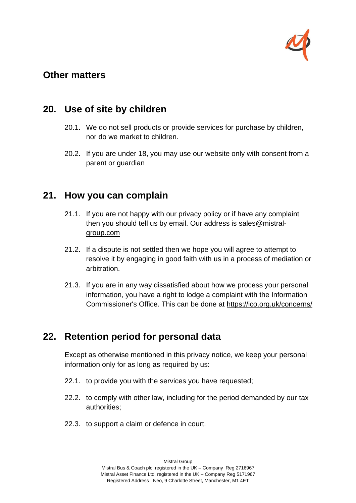

#### **Other matters**

### **20. Use of site by children**

- 20.1. We do not sell products or provide services for purchase by children, nor do we market to children.
- 20.2. If you are under 18, you may use our website only with consent from a parent or guardian

#### **21. How you can complain**

- 21.1. If you are not happy with our privacy policy or if have any complaint then you should tell us by email. Our address is [sales@mistral](mailto:sales@mistral-group.com)[group.com](mailto:sales@mistral-group.com)
- 21.2. If a dispute is not settled then we hope you will agree to attempt to resolve it by engaging in good faith with us in a process of mediation or arbitration.
- 21.3. If you are in any way dissatisfied about how we process your personal information, you have a right to lodge a complaint with the Information Commissioner's Office. This can be done at<https://ico.org.uk/concerns/>

### **22. Retention period for personal data**

Except as otherwise mentioned in this privacy notice, we keep your personal information only for as long as required by us:

- 22.1. to provide you with the services you have requested;
- 22.2. to comply with other law, including for the period demanded by our tax authorities;
- 22.3. to support a claim or defence in court.